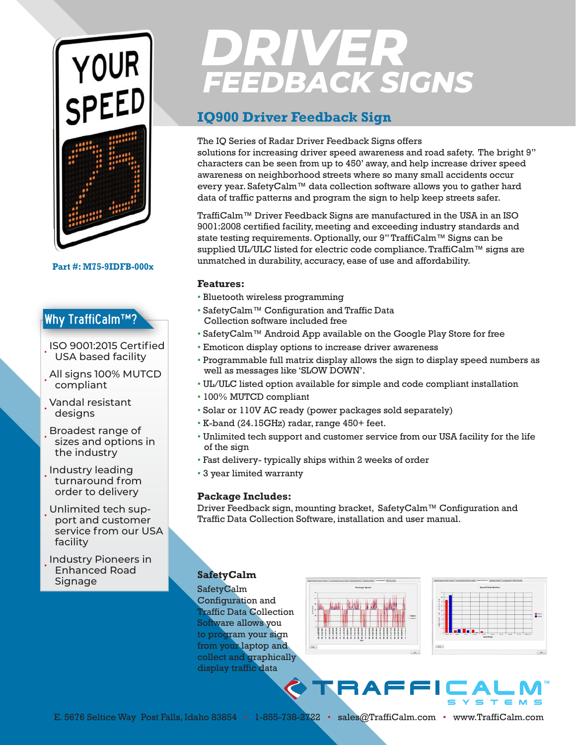

**Part #: M75-9IDFB-000x**

## Why TraffiCalm™?

- ISO 9001:2015 Certified USA based facility
- All signs 100% MUTCD compliant
- Vandal resistant designs
- Broadest range of sizes and options in the industry
- Industry leading turnaround from order to delivery
- Unlimited tech support and customer service from our USA facility
- Industry Pioneers in Enhanced Road **Signage**

# **DRIVER**<br>FEEDBACK SIGNS

## **IQ900 Driver Feedback Sign**

#### The IQ Series of Radar Driver Feedback Signs offers

solutions for increasing driver speed awareness and road safety. The bright 9" characters can be seen from up to 450' away, and help increase driver speed awareness on neighborhood streets where so many small accidents occur every year. SafetyCalm™ data collection software allows you to gather hard data of traffic patterns and program the sign to help keep streets safer.

TraffiCalm™ Driver Feedback Signs are manufactured in the USA in an ISO 9001:2008 certified facility, meeting and exceeding industry standards and state testing requirements. Optionally, our 9" TraffiCalm™ Signs can be supplied UL/ULC listed for electric code compliance. TraffiCalm™ signs are unmatched in durability, accuracy, ease of use and affordability.

#### **Features:**

- Bluetooth wireless programming
- SafetyCalm™ Configuration and Traffic Data Collection software included free
- SafetyCalm™ Android App available on the Google Play Store for free
- Emoticon display options to increase driver awareness
- Programmable full matrix display allows the sign to display speed numbers as well as messages like 'SLOW DOWN'.
- UL/ULC listed option available for simple and code compliant installation
- 100% MUTCD compliant
- Solar or 110V AC ready (power packages sold separately)
- K-band (24.15GHz) radar, range 450+ feet.
- Unlimited tech support and customer service from our USA facility for the life of the sign
- Fast delivery- typically ships within 2 weeks of order
- 3 year limited warranty

### **Package Includes:**

Driver Feedback sign, mounting bracket, SafetyCalm™ Configuration and Traffic Data Collection Software, installation and user manual.

## **SafetyCalm**

SafetyCalm Configuration and Traffic Data Collection Software allows you to program your sign from your laptop and collect and graphically display traffic data